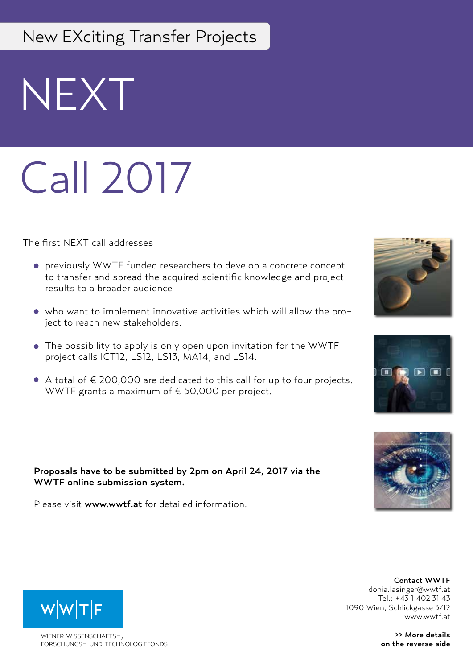## New EXciting Transfer Projects

NEXT

# Call 2017

The first NEXT call addresses

- previously WWTF funded researchers to develop a concrete concept to transfer and spread the acquired scientific knowledge and project results to a broader audience
- who want to implement innovative activities which will allow the project to reach new stakeholders.
- The possibility to apply is only open upon invitation for the WWTF project calls ICT12, LS12, LS13, MA14, and LS14.
- A total of € 200,000 are dedicated to this call for up to four projects. WWTF grants a maximum of € 50,000 per project.



Please visit [www.wwtf.at](http://www.wwtf.at) for detailed information.







#### Contact WWTF donia.lasinger[@wwtf.at](mailto:alexander.woehrer%40wwtf.at%20?subject=ICT15%20Call) Tel.: +43 1 402 31 43 1090 Wien, Schlickgasse 3/12 [www.wwtf.at](http://www.wwtf.at)

>> More details on the reverse side



WIENER WISSENSCHAFTSforschungs- und technologiefonds